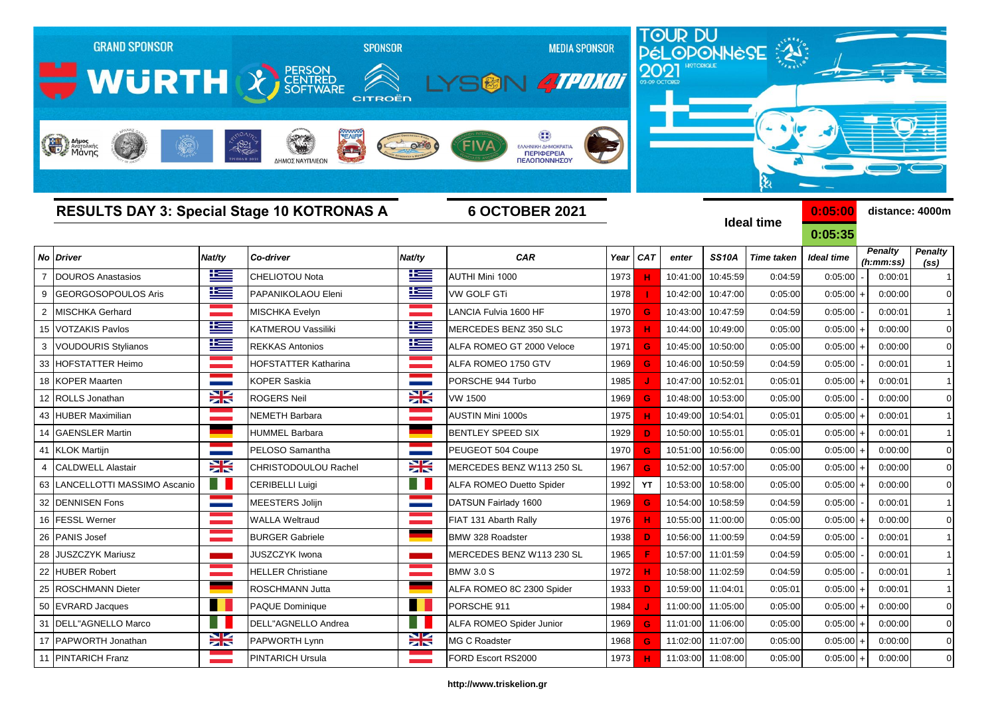| <b>GRAND SPONSOR</b>                              |                 | <b>SPONSOR</b>            | <b>MEDIA SPONSOR</b> |                                         |      |            |          | TOUR DU<br>PÉLOPONNESE |                   |            |                      |                     |
|---------------------------------------------------|-----------------|---------------------------|----------------------|-----------------------------------------|------|------------|----------|------------------------|-------------------|------------|----------------------|---------------------|
|                                                   |                 |                           |                      |                                         |      |            |          |                        |                   |            |                      |                     |
| <b>WURTH &amp; SOFTWARE</b>                       |                 | <b>CITROËN</b>            |                      | <b>ATPOKOT</b>                          |      |            |          |                        |                   |            |                      |                     |
|                                                   |                 |                           |                      |                                         |      |            |          |                        |                   |            |                      |                     |
|                                                   |                 |                           |                      |                                         |      |            |          |                        |                   |            |                      |                     |
| Anjues<br>Margoliking                             | $-1821$         |                           |                      | ΕΛΛΗΝΙΚΗ ΔΗΜΟΚΡΑΤΙ<br><b>ПЕРІФЕРЕІА</b> |      |            |          |                        |                   |            |                      |                     |
|                                                   |                 | ΔΗΜΟΣ ΝΑΥΠΛΙΕΩΝ           |                      | ΠΕΛΟΠΟΝΝΗΣΟΥ                            |      |            |          |                        |                   |            |                      |                     |
|                                                   |                 |                           |                      |                                         |      |            |          |                        | ક્ષ               |            |                      |                     |
| <b>RESULTS DAY 3: Special Stage 10 KOTRONAS A</b> |                 |                           |                      | <b>6 OCTOBER 2021</b>                   |      |            |          |                        |                   | 0:05:00    | distance: 4000m      |                     |
|                                                   |                 |                           |                      |                                         |      |            |          |                        | <b>Ideal time</b> | 0:05:35    |                      |                     |
| <b>Driver</b><br>No                               | Nat/ty          | Co-driver                 | Nat/ty               | <b>CAR</b>                              | Year | <b>CAT</b> | enter    | <b>SS10A</b>           | <b>Time taken</b> | Ideal time | <b>Penalty</b>       | <b>Penalty</b>      |
| <b>DOUROS Anastasios</b><br>$\overline{7}$        | ٢               | CHELIOTOU Nota            | 些                    | AUTHI Mini 1000                         | 1973 |            | 10:41:00 | 10:45:59               | 0:04:59           | 0:05:00    | (h:mm:ss)<br>0:00:01 | (ss)<br>$\mathbf 1$ |
| GEORGOSOPOULOS Aris<br>9                          | Ħ               | PAPANIKOLAOU Eleni        | ١Ξ                   | <b>VW GOLF GTi</b>                      | 1978 |            | 10:42:00 | 10:47:00               | 0:05:00           | 0:05:00    | 0:00:00              | $\Omega$            |
| $\overline{2}$<br><b>MISCHKA Gerhard</b>          | and the company | <b>MISCHKA Evelyn</b>     |                      | LANCIA Fulvia 1600 HF                   | 1970 | G          | 10:43:00 | 10:47:59               | 0:04:59           | 0:05:00    | 0:00:01              | $\mathbf{1}$        |
| <b>VOTZAKIS Pavlos</b><br>15                      | N               | <b>KATMEROU Vassiliki</b> | Ħ                    | MERCEDES BENZ 350 SLC                   | 1973 | н.         | 10:44:00 | 10:49:00               | 0:05:00           | 0:05:00    | 0:00:00              | $\overline{0}$      |
| VOUDOURIS Stylianos<br>3                          | Ħ               | <b>REKKAS Antonios</b>    | Ï                    | ALFA ROMEO GT 2000 Veloce               | 1971 | G          | 10:45:00 | 10:50:00               | 0:05:00           | 0:05:00    | 0:00:00              | $\overline{0}$      |
| HOFSTATTER Heimo<br>33                            |                 | HOFSTATTER Katharina      |                      | ALFA ROMEO 1750 GTV                     | 1969 | G          | 10:46:00 | 10:50:59               | 0:04:59           | 0:05:00    | 0:00:01              | $\mathbf 1$         |
| <b>KOPER Maarten</b><br>18                        |                 | <b>KOPER Saskia</b>       |                      | PORSCHE 944 Turbo                       | 1985 |            | 10:47:00 | 10:52:01               | 0:05:01           | 0:05:00    | 0:00:01              | $\mathbf 1$         |
| ROLLS Jonathan<br>12                              | X               | <b>ROGERS Neil</b>        | XK                   | <b>VW 1500</b>                          | 1969 | G          | 10:48:00 | 10:53:00               | 0:05:00           | 0:05:00    | 0:00:00              | $\overline{0}$      |
| <b>HUBER Maximilian</b><br>43                     |                 | NEMETH Barbara            |                      | AUSTIN Mini 1000s                       | 1975 |            | 10:49:00 | 10:54:01               | 0:05:01           | 0:05:00    | 0:00:01              | $\mathbf 1$         |
| <b>GAENSLER Martin</b><br>14                      |                 | HUMMEL Barbara            |                      | BENTLEY SPEED SIX                       | 1929 | D.         | 10:50:00 | 10:55:01               | 0:05:01           | 0:05:00    | 0:00:01              | 1                   |
| 41<br>KLOK Martijn                                |                 | PELOSO Samantha           |                      | PEUGEOT 504 Coupe                       | 1970 | G          | 10:51:00 | 10:56:00               | 0:05:00           | 0:05:00    | 0:00:00              | $\mathbf 0$         |
| <b>CALDWELL Alastair</b><br>$\overline{4}$        | $\geq$          | CHRISTODOULOU Rachel      | X                    | MERCEDES BENZ W113 250 SL               | 1967 | G          | 10:52:00 | 10:57:00               | 0:05:00           | 0:05:00    | 0:00:00              | $\overline{0}$      |
| LANCELLOTTI MASSIMO Ascanio<br>63                 | a n             | <b>CERIBELLI Luigi</b>    |                      | <b>ALFA ROMEO Duetto Spider</b>         | 1992 | YT         | 10:53:00 | 10:58:00               | 0:05:00           | 0:05:00    | 0:00:00              | $\overline{0}$      |
| 32<br><b>DENNISEN Fons</b>                        |                 | MEESTERS Jolijn           |                      | DATSUN Fairlady 1600                    | 1969 | G          | 10:54:00 | 10:58:59               | 0:04:59           | 0:05:00    | 0:00:01              | $\mathbf{1}$        |
| <b>FESSL Werner</b><br>16                         |                 | WALLA Weltraud            |                      | FIAT 131 Abarth Rally                   | 1976 | н          | 10:55:00 | 11:00:00               | 0:05:00           | 0:05:00    | 0:00:00              | $\Omega$            |
| 26<br>PANIS Josef                                 |                 | <b>BURGER Gabriele</b>    |                      | BMW 328 Roadster                        | 1938 | D.         | 10:56:00 | 11:00:59               | 0:04:59           | 0:05:00    | 0:00:01              |                     |
| 28 JUSZCZYK Mariusz                               |                 | JUSZCZYK Iwona            |                      | MERCEDES BENZ W113 230 SL               | 1965 | E.         |          | 10:57:00 11:01:59      | 0:04:59           | 0:05:00    | 0:00:01              |                     |
| <b>HUBER Robert</b><br>22                         |                 | <b>HELLER Christiane</b>  |                      | <b>BMW 3.0 S</b>                        | 1972 | н          | 10:58:00 | 11:02:59               | 0:04:59           | 0:05:00    | 0:00:01              | $\overline{1}$      |
| 25<br><b>ROSCHMANN Dieter</b>                     |                 | ROSCHMANN Jutta           |                      | ALFA ROMEO 8C 2300 Spider               | 1933 | D          | 10:59:00 | 11:04:01               | 0:05:01           | 0:05:00    | 0:00:01              | $\mathbf 1$         |
| 50 EVRARD Jacques                                 | H               | PAQUE Dominique           | <b>TALL</b>          | PORSCHE 911                             | 1984 |            |          | 11:00:00 11:05:00      | 0:05:00           | 0:05:00    | 0:00:00              | $\overline{0}$      |
| DELL"AGNELLO Marco<br>31                          |                 | DELL"AGNELLO Andrea       |                      | ALFA ROMEO Spider Junior                | 1969 | G          |          | 11:01:00 11:06:00      | 0:05:00           | 0:05:00    | 0:00:00              | $\overline{0}$      |
| 17 PAPWORTH Jonathan                              | X               | PAPWORTH Lynn             | X                    | MG C Roadster                           | 1968 | G.         |          | 11:02:00 11:07:00      | 0:05:00           | 0:05:00    | 0:00:00              | $\mathbf 0$         |

## **http://www.triskelion.gr**

11 |PINTARICH Franz |PINTARICH Ursula 11:03:00 | 11:08:00 | 0:05:00 | 0:05:00 | 0:00:00 | 0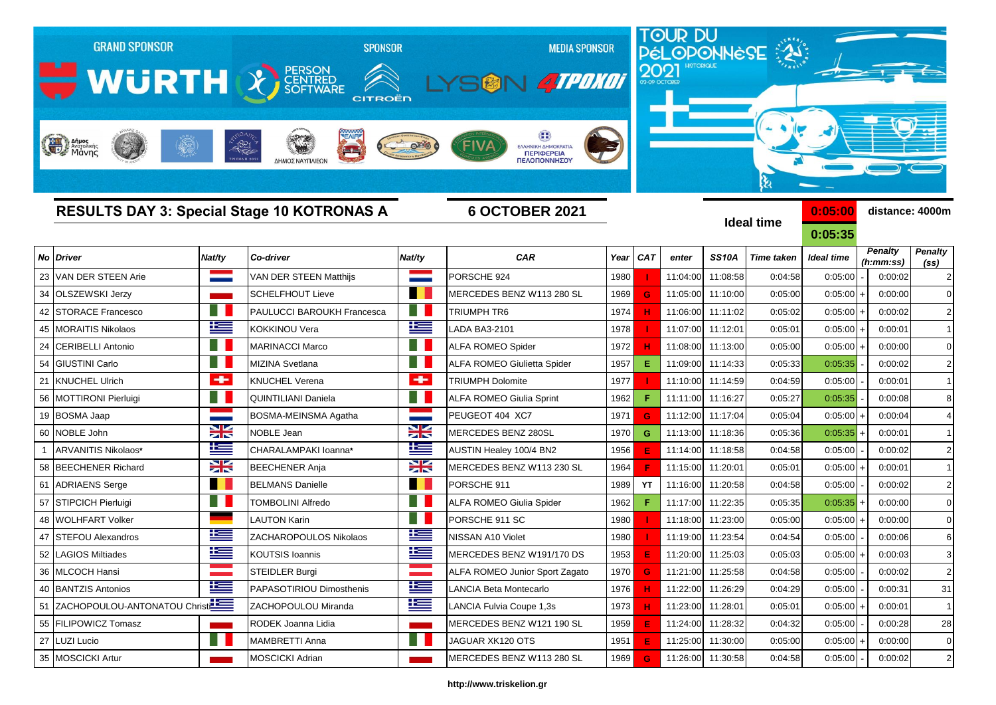|    | <b>GRAND SPONSOR</b><br>WURTH X SCRITTING |                | <b>SPONSOR</b><br><b>CITROËN</b>                  |                 | <b>MEDIA SPONSOR</b><br>SGN 4TPOKOT              |      | 2021        |          |                   | TOUR DU<br>PÉLOPONNESE |             |                             |                                     |
|----|-------------------------------------------|----------------|---------------------------------------------------|-----------------|--------------------------------------------------|------|-------------|----------|-------------------|------------------------|-------------|-----------------------------|-------------------------------------|
|    | Anjues<br>ANGLOSIKING ANGLOSIKING         |                | $-1821$<br>ΔΗΜΟΣ ΝΑΥΠΛΙΕΩΝ                        |                 | ΕΛΛΗΝΙΚΗ ΔΗΜΟΚΡΑΤΙ<br>ΠΕΡΙΦΕΡΕΙΑ<br>ΠΕΛΟΠΟΝΝΗΣΟΥ |      |             |          |                   | હ્ય                    |             |                             |                                     |
|    |                                           |                | <b>RESULTS DAY 3: Special Stage 10 KOTRONAS A</b> |                 | <b>6 OCTOBER 2021</b>                            |      |             |          |                   | <b>Ideal time</b>      | 0:05:00     |                             | distance: 4000m                     |
|    |                                           |                |                                                   |                 |                                                  |      |             |          |                   |                        | 0:05:35     |                             |                                     |
|    | No Driver                                 | Nat/ty         | Co-driver                                         | Nat/ty          | <b>CAR</b>                                       | Year | <b>CAT</b>  | enter    | <b>SS10A</b>      | <b>Time taken</b>      | Ideal time  | <b>Penalty</b><br>(h:mm:ss) | <b>Penalty</b><br>(s <sub>s</sub> ) |
| 23 | VAN DER STEEN Arie                        |                | VAN DER STEEN Matthijs                            |                 | PORSCHE 924                                      | 1980 |             | 11:04:00 | 11:08:58          | 0:04:58                | 0:05:00     | 0:00:02                     | $\overline{2}$                      |
| 34 | <b>OLSZEWSKI Jerzy</b>                    |                | <b>SCHELFHOUT Lieve</b>                           |                 | MERCEDES BENZ W113 280 SL                        | 1969 | G           | 11:05:00 | 11:10:00          | 0:05:00                | 0:05:00     | 0:00:00                     |                                     |
| 42 | <b>STORACE Francesco</b>                  |                | PAULUCCI BAROUKH Francesca                        |                 | <b>TRIUMPH TR6</b>                               | 1974 |             | 11:06:00 | 11:11:02          | 0:05:02                | $0:05:00 +$ | 0:00:02                     | $\overline{2}$                      |
| 45 | <b>MORAITIS Nikolaos</b>                  | Ħ              | KOKKINOU Vera                                     | N               | LADA BA3-2101                                    | 1978 |             | 11:07:00 | 11:12:01          | 0:05:01                | $0:05:00 +$ | 0:00:01                     | $\mathbf{1}$                        |
| 24 | <b>CERIBELLI Antonio</b>                  |                | <b>MARINACCI Marco</b>                            |                 | <b>ALFA ROMEO Spider</b>                         | 1972 |             | 11:08:00 | 11:13:00          | 0:05:00                | $0:05:00$ + | 0:00:00                     | $\mathbf 0$                         |
| 54 | <b>GIUSTINI Carlo</b>                     |                | MIZINA Svetlana                                   |                 | <b>ALFA ROMEO Giulietta Spider</b>               | 1957 | Е           | 11:09:00 | 11:14:33          | 0:05:33                | 0:05:35     | 0:00:02                     | $\overline{2}$                      |
| 21 | <b>KNUCHEL Ulrich</b>                     | ٠              | KNUCHEL Verena                                    | $\bullet$       | <b>TRIUMPH Dolomite</b>                          | 1977 |             | 11:10:00 | 11:14:59          | 0:04:59                | 0:05:00     | 0:00:01                     |                                     |
| 56 | <b>MOTTIRONI Pierluigi</b>                |                | QUINTILIANI Daniela                               |                 | ALFA ROMEO Giulia Sprint                         | 1962 | F.          | 11:11:00 | 11:16:27          | 0:05:27                | 0:05:35     | 0:00:08                     | 8                                   |
| 19 | <b>BOSMA Jaap</b>                         |                | BOSMA-MEINSMA Agatha                              |                 | PEUGEOT 404 XC7                                  | 1971 | G           | 11:12:00 | 11:17:04          | 0:05:04                | $0:05:00 +$ | 0:00:04                     |                                     |
| 60 | NOBLE John                                | X              | <b>NOBLE Jean</b>                                 | <u>XK</u>       | MERCEDES BENZ 280SL                              | 1970 | G           | 11:13:00 | 11:18:36          | 0:05:36                | 0:05:35     | 0:00:01                     |                                     |
|    | ARVANITIS Nikolaos*                       | ħ              | CHARALAMPAKI Ioanna*                              | Ë               | AUSTIN Healey 100/4 BN2                          | 1956 | Е           | 11:14:00 | 11:18:58          | 0:04:58                | 0:05:00     | 0:00:02                     | $\overline{2}$                      |
|    | 58 BEECHENER Richard                      | X              | <b>BEECHENER Anja</b>                             | XK              | MERCEDES BENZ W113 230 SL                        | 1964 | F           | 11:15:00 | 11:20:01          | 0:05:01                | 0:05:00     | 0:00:01                     | $\mathbf{1}$                        |
| 61 | <b>ADRIAENS Serge</b>                     | a pro          | <b>BELMANS Danielle</b>                           | <b>Contract</b> | PORSCHE 911                                      | 1989 | YT          | 11:16:00 | 11:20:58          | 0:04:58                | 0:05:00     | 0:00:02                     | $\overline{2}$                      |
| 57 | STIPCICH Pierluigi                        | M.             | <b>TOMBOLINI Alfredo</b>                          |                 | ALFA ROMEO Giulia Spider                         | 1962 | F.          | 11:17:00 | 11:22:35          | 0:05:35                | 0:05:35     | 0:00:00                     | $\Omega$                            |
| 48 | <b>WOLHFART Volker</b>                    |                | LAUTON Karin                                      |                 | PORSCHE 911 SC                                   | 1980 |             | 11:18:00 | 11:23:00          | 0:05:00                | $0:05:00 +$ | 0:00:00                     | $\Omega$                            |
| 47 | <b>STEFOU Alexandros</b>                  | <u>r </u>      | ZACHAROPOULOS Nikolaos                            | ĥ               | NISSAN A10 Violet                                | 1980 |             | 11:19:00 | 11:23:54          | 0:04:54                | 0:05:00     | 0:00:06                     | 6                                   |
|    | 52 LAGIOS Miltiades                       | $\pm$          | <b>KOUTSIS Ioannis</b>                            | ١æ              | MERCEDES BENZ W191/170 DS                        | 1953 |             |          | 11:20:00 11:25:03 | 0:05:03                | $0:05:00 +$ | 0:00:03                     |                                     |
|    | 36 MLCOCH Hansi                           |                | <b>STEIDLER Burgi</b>                             |                 | ALFA ROMEO Junior Sport Zagato                   | 1970 | $\mathbf G$ |          | 11:21:00 11:25:58 | 0:04:58                | 0:05:00     | 0:00:02                     | $\overline{2}$                      |
|    | 40 BANTZIS Antonios                       | <u>is </u>     | PAPASOTIRIOU Dimosthenis                          | <u>is</u>       | <b>LANCIA Beta Montecarlo</b>                    | 1976 |             | 11:22:00 | 11:26:29          | 0:04:29                | 0:05:00     | 0:00:31                     | 31                                  |
|    | 51 ZACHOPOULOU-ANTONATOU Christ           |                | ZACHOPOULOU Miranda                               | Ħ               | LANCIA Fulvia Coupe 1,3s                         | 1973 | н           | 11:23:00 | 11:28:01          | 0:05:01                | 0:05:00     | 0:00:01                     | $\mathbf{1}$                        |
|    | 55 FILIPOWICZ Tomasz                      | <b>Service</b> | RODEK Joanna Lidia                                |                 | MERCEDES BENZ W121 190 SL                        | 1959 | E           |          | 11:24:00 11:28:32 | 0:04:32                | 0:05:00     | 0:00:28                     | 28                                  |
|    | 27 LUZI Lucio                             | a pro          | MAMBRETTI Anna                                    |                 | JAGUAR XK120 OTS                                 | 1951 |             | 11:25:00 | 11:30:00          | 0:05:00                | $0:05:00 +$ | 0:00:00                     | $\mathbf 0$                         |
|    | 35 MOSCICKI Artur                         |                | <b>MOSCICKI Adrian</b>                            |                 | MERCEDES BENZ W113 280 SL                        | 1969 | G           |          | 11:26:00 11:30:58 | 0:04:58                | 0:05:00     | 0:00:02                     | $\overline{2}$                      |

## **http://www.triskelion.gr**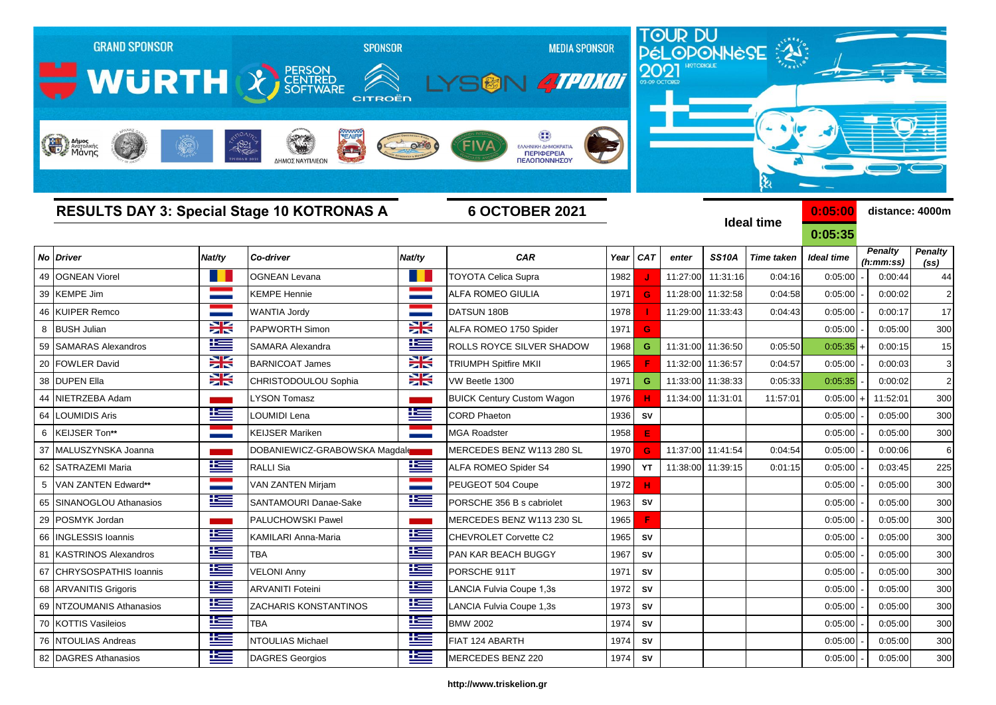|    | <b>GRAND SPONSOR</b>        | <b>SPONSOR</b> |                                                   |            |                                                          |      |            | TOUR DU<br>PÉLOPONNÈSE<br><b>MEDIA SPONSOR</b><br>2021 |              |                   |                    |                             |                                     |  |  |  |
|----|-----------------------------|----------------|---------------------------------------------------|------------|----------------------------------------------------------|------|------------|--------------------------------------------------------|--------------|-------------------|--------------------|-----------------------------|-------------------------------------|--|--|--|
|    | WURTH X SCRITTING           |                | CITROËN                                           |            | <b>SALLA POKOT</b><br>SM                                 |      |            |                                                        |              |                   |                    |                             |                                     |  |  |  |
|    | Anjues<br>Margolikins       |                | $-1821$<br>$\rightarrow$<br>ΔΗΜΟΣ ΝΑΥΠΛΙΕΩΝ       |            | ΕΛΛΗΝΙΚΗ ΔΗΜΟΚΡΑΤΙΑ<br><b>ПЕРІФЕРЕІА</b><br>ΠΕΛΟΠΟΝΝΗΣΟΥ |      |            |                                                        |              |                   |                    |                             |                                     |  |  |  |
|    |                             |                | <b>RESULTS DAY 3: Special Stage 10 KOTRONAS A</b> |            | <b>6 OCTOBER 2021</b>                                    |      |            |                                                        |              | <b>Ideal time</b> | 0:05:00<br>0:05:35 |                             | distance: 4000m                     |  |  |  |
| No | <b>Driver</b>               | Nat/ty         | Co-driver                                         | Nat/ty     | <b>CAR</b>                                               | Year | <b>CAT</b> | enter                                                  | <b>SS10A</b> | <b>Time taken</b> | <b>Ideal time</b>  | <b>Penalty</b><br>(h:mm:ss) | <b>Penalty</b><br>(s <sub>s</sub> ) |  |  |  |
| 49 | <b>OGNEAN Viorel</b>        |                | <b>OGNEAN Levana</b>                              |            | <b>TOYOTA Celica Supra</b>                               | 1982 |            | 11:27:00                                               | 11:31:16     | 0:04:16           | 0:05:00            | 0:00:44                     | 44                                  |  |  |  |
| 39 | <b>KEMPE Jim</b>            |                | <b>KEMPE Hennie</b>                               |            | ALFA ROMEO GIULIA                                        | 1971 | G          | 11:28:00                                               | 11:32:58     | 0:04:58           | 0:05:00            | 0:00:02                     | 2 <sub>1</sub>                      |  |  |  |
| 46 | <b>KUIPER Remco</b>         |                | WANTIA Jordy                                      |            | DATSUN 180B                                              | 1978 |            | 11:29:00                                               | 11:33:43     | 0:04:43           | 0:05:00            | 0:00:17                     | 17                                  |  |  |  |
| 8  | <b>BUSH Julian</b>          | X              | PAPWORTH Simon                                    | X          | ALFA ROMEO 1750 Spider                                   | 1971 | G          |                                                        |              |                   | 0:05:00            | 0:05:00                     | 300                                 |  |  |  |
| 59 | <b>SAMARAS Alexandros</b>   | $\pm$          | SAMARA Alexandra                                  | 些          | ROLLS ROYCE SILVER SHADOW                                | 1968 | G          | 11:31:00                                               | 11:36:50     | 0:05:50           | 0:05:35            | 0:00:15                     | 15                                  |  |  |  |
| 20 | <b>FOWLER David</b>         | X              | <b>BARNICOAT James</b>                            | X          | <b>TRIUMPH Spitfire MKII</b>                             | 1965 |            | 11:32:00                                               | 11:36:57     | 0:04:57           | 0:05:00            | 0:00:03                     | 3 <sup>1</sup>                      |  |  |  |
| 38 | <b>DUPEN Ella</b>           | X              | CHRISTODOULOU Sophia                              | XK         | VW Beetle 1300                                           | 1971 | G          | 11:33:00                                               | 11:38:33     | 0:05:33           | 0:05:35            | 0:00:02                     | 2 <sub>1</sub>                      |  |  |  |
| 44 | NIETRZEBA Adam              |                | <b>YSON Tomasz</b>                                |            | <b>BUICK Century Custom Wagon</b>                        | 1976 | н          | 11:34:00                                               | 11:31:01     | 11:57:01          | 0:05:00            | 11:52:01                    | 300                                 |  |  |  |
| 64 | <b>OUMIDIS Aris</b>         | Ħ              | LOUMIDI Lena                                      | ١æ         | <b>CORD Phaeton</b>                                      | 1936 | SV         |                                                        |              |                   | 0:05:00            | 0:05:00                     | 300                                 |  |  |  |
| 6  | KEIJSER Ton**               |                | <b>KEIJSER Mariken</b>                            |            | <b>MGA Roadster</b>                                      | 1958 | E          |                                                        |              |                   | 0:05:00            | 0:05:00                     | 300                                 |  |  |  |
| 37 | MALUSZYNSKA Joanna          |                | DOBANIEWICZ-GRABOWSKA Magdale                     |            | MERCEDES BENZ W113 280 SL                                | 1970 | G          | 11:37:00                                               | 11:41:54     | 0:04:54           | 0:05:00            | 0:00:06                     | $6 \mid$                            |  |  |  |
| 62 | SATRAZEMI Maria             | <u>ies</u>     | RALLI Sia                                         | <u>is</u>  | ALFA ROMEO Spider S4                                     | 1990 | YT         | 11:38:00                                               | 11:39:15     | 0:01:15           | 0:05:00            | 0:03:45                     | 225                                 |  |  |  |
| 5  | VAN ZANTEN Edward**         |                | VAN ZANTEN Mirjam                                 |            | PEUGEOT 504 Coupe                                        | 1972 | н          |                                                        |              |                   | 0:05:00            | 0:05:00                     | 300                                 |  |  |  |
| 65 | SINANOGLOU Athanasios       | <u>ik a</u>    | SANTAMOURI Danae-Sake                             | <u>ies</u> | PORSCHE 356 B s cabriolet                                | 1963 | SV         |                                                        |              |                   | 0:05:00            | 0:05:00                     | 300                                 |  |  |  |
| 29 | POSMYK Jordan               |                | PALUCHOWSKI Pawel                                 |            | MERCEDES BENZ W113 230 SL                                | 1965 | F          |                                                        |              |                   | 0:05:00            | 0:05:00                     | 300                                 |  |  |  |
| 66 | <b>INGLESSIS Ioannis</b>    | Ħ              | KAMILARI Anna-Maria                               | Ħ          | CHEVROLET Corvette C2                                    | 1965 | SV         |                                                        |              |                   | 0:05:00            | 0:05:00                     | 300                                 |  |  |  |
| 81 | <b>KASTRINOS Alexandros</b> | Ŧ              | <b>TBA</b>                                        | Ŧ          | PAN KAR BEACH BUGGY                                      | 1967 | SV         |                                                        |              |                   | 0:05:00            | 0:05:00                     | 300                                 |  |  |  |
|    | 67 CHRYSOSPATHIS Ioannis    | N              | <b>VELONI Anny</b>                                | N          | PORSCHE 911T                                             | 1971 | SV         |                                                        |              |                   | 0:05:00            | 0:05:00                     | 300                                 |  |  |  |
|    | 68 ARVANITIS Grigoris       | ١Œ             | <b>ARVANITI Foteini</b>                           | N          | LANCIA Fulvia Coupe 1,3s                                 | 1972 | SV         |                                                        |              |                   | 0:05:00            | 0:05:00                     | 300                                 |  |  |  |
|    | 69 NTZOUMANIS Athanasios    | 坚              | <b>ZACHARIS KONSTANTINOS</b>                      | ≝          | LANCIA Fulvia Coupe 1,3s                                 | 1973 | SV         |                                                        |              |                   | 0:05:00            | 0:05:00                     | 300                                 |  |  |  |
|    | 70 KOTTIS Vasileios         | 连              | <b>TBA</b>                                        | ١Œ         | <b>BMW 2002</b>                                          | 1974 | SV         |                                                        |              |                   | 0:05:00            | 0:05:00                     | 300                                 |  |  |  |
|    | 76 NTOULIAS Andreas         | 连              | NTOULIAS Michael                                  | N          | FIAT 124 ABARTH                                          | 1974 | SV         |                                                        |              |                   | 0:05:00            | 0:05:00                     | 300                                 |  |  |  |
|    | 82 DAGRES Athanasios        | 些              | <b>DAGRES Georgios</b>                            | 当          | MERCEDES BENZ 220                                        | 1974 | ${\sf SV}$ |                                                        |              |                   | 0:05:00            | 0:05:00                     | 300                                 |  |  |  |

## **http://www.triskelion.gr**